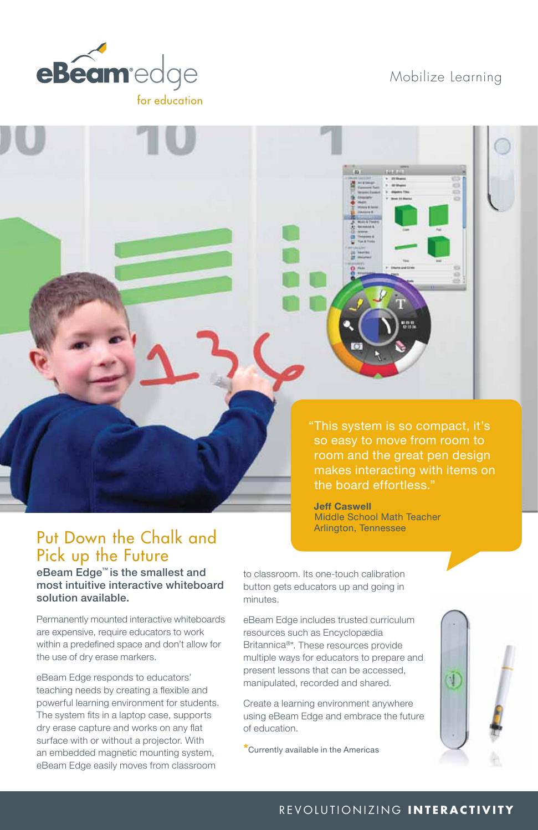

## Mobilize Learning

"This system is so compact, it's so easy to move from room to room and the great pen design makes interacting with items on the board effortless."

**Jeff Caswell** Middle School Math Teacher Arlington, Tennessee

# Put Down the Chalk and Pick up the Future

eBeam Edge™ is the smallest and most intuitive interactive whiteboard solution available.

Permanently mounted interactive whiteboards are expensive, require educators to work within a predefined space and don't allow for the use of dry erase markers.

eBeam Edge responds to educators' teaching needs by creating a flexible and powerful learning environment for students. The system fits in a laptop case, supports dry erase capture and works on any flat surface with or without a projector. With an embedded magnetic mounting system, eBeam Edge easily moves from classroom

to classroom. Its one-touch calibration button gets educators up and going in minutes.

eBeam Edge includes trusted curriculum resources such as Encyclopædia Britannica®\*. These resources provide multiple ways for educators to prepare and present lessons that can be accessed, manipulated, recorded and shared.

Create a learning environment anywhere using eBeam Edge and embrace the future of education.

**\***Currently available in the Americas